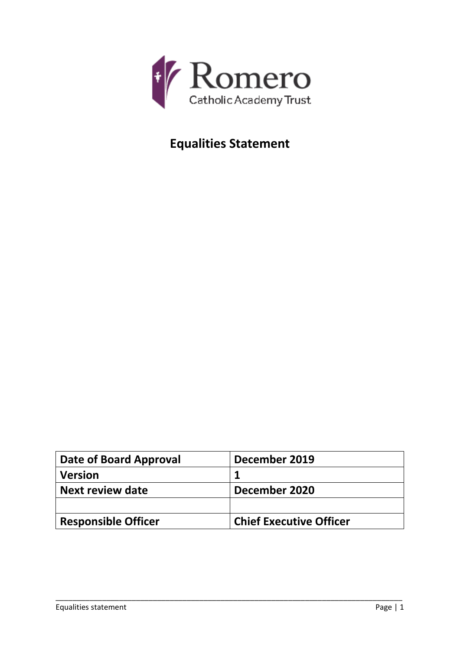

# **Equalities Statement**

| Date of Board Approval     | December 2019                  |
|----------------------------|--------------------------------|
| <b>Version</b>             |                                |
| <b>Next review date</b>    | December 2020                  |
|                            |                                |
| <b>Responsible Officer</b> | <b>Chief Executive Officer</b> |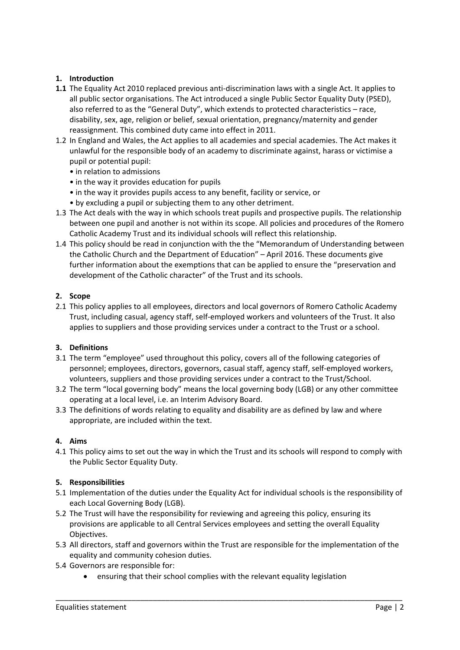## **1. Introduction**

- **1.1** The Equality Act 2010 replaced previous anti-discrimination laws with a single Act. It applies to all public sector organisations. The Act introduced a single Public Sector Equality Duty (PSED), also referred to as the "General Duty", which extends to protected characteristics – race, disability, sex, age, religion or belief, sexual orientation, pregnancy/maternity and gender reassignment. This combined duty came into effect in 2011.
- 1.2 In England and Wales, the Act applies to all academies and special academies. The Act makes it unlawful for the responsible body of an academy to discriminate against, harass or victimise a pupil or potential pupil:
	- in relation to admissions
	- in the way it provides education for pupils
	- in the way it provides pupils access to any benefit, facility or service, or
	- by excluding a pupil or subjecting them to any other detriment.
- 1.3 The Act deals with the way in which schools treat pupils and prospective pupils. The relationship between one pupil and another is not within its scope. All policies and procedures of the Romero Catholic Academy Trust and its individual schools will reflect this relationship.
- 1.4 This policy should be read in conjunction with the the "Memorandum of Understanding between the Catholic Church and the Department of Education" – April 2016. These documents give further information about the exemptions that can be applied to ensure the "preservation and development of the Catholic character" of the Trust and its schools.

#### **2. Scope**

2.1 This policy applies to all employees, directors and local governors of Romero Catholic Academy Trust, including casual, agency staff, self‐employed workers and volunteers of the Trust. It also applies to suppliers and those providing services under a contract to the Trust or a school.

#### **3. Definitions**

- 3.1 The term "employee" used throughout this policy, covers all of the following categories of personnel; employees, directors, governors, casual staff, agency staff, self-employed workers, volunteers, suppliers and those providing services under a contract to the Trust/School.
- 3.2 The term "local governing body" means the local governing body (LGB) or any other committee operating at a local level, i.e. an Interim Advisory Board.
- 3.3 The definitions of words relating to equality and disability are as defined by law and where appropriate, are included within the text.

#### **4. Aims**

4.1 This policy aims to set out the way in which the Trust and its schools will respond to comply with the Public Sector Equality Duty.

#### **5. Responsibilities**

- 5.1 Implementation of the duties under the Equality Act for individual schools is the responsibility of each Local Governing Body (LGB).
- 5.2 The Trust will have the responsibility for reviewing and agreeing this policy, ensuring its provisions are applicable to all Central Services employees and setting the overall Equality Objectives.
- 5.3 All directors, staff and governors within the Trust are responsible for the implementation of the equality and community cohesion duties.

- 5.4 Governors are responsible for:
	- ensuring that their school complies with the relevant equality legislation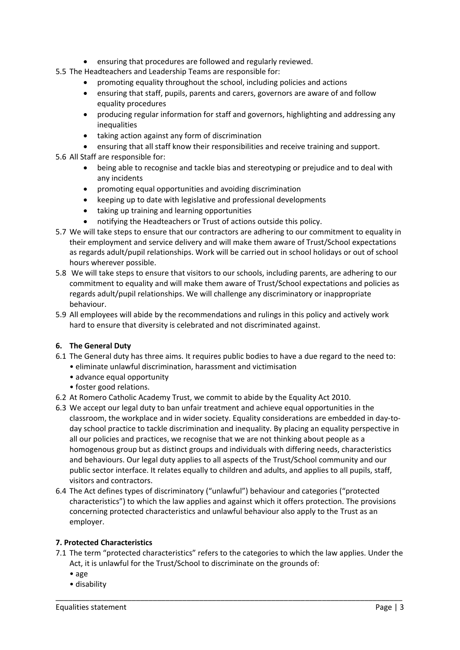- ensuring that procedures are followed and regularly reviewed.
- 5.5 The Headteachers and Leadership Teams are responsible for:
	- promoting equality throughout the school, including policies and actions
	- ensuring that staff, pupils, parents and carers, governors are aware of and follow equality procedures
	- producing regular information for staff and governors, highlighting and addressing any inequalities
	- taking action against any form of discrimination
	- ensuring that all staff know their responsibilities and receive training and support.
- 5.6 All Staff are responsible for:
	- being able to recognise and tackle bias and stereotyping or prejudice and to deal with any incidents
	- promoting equal opportunities and avoiding discrimination
	- keeping up to date with legislative and professional developments
	- taking up training and learning opportunities
	- notifying the Headteachers or Trust of actions outside this policy.
- 5.7 We will take steps to ensure that our contractors are adhering to our commitment to equality in their employment and service delivery and will make them aware of Trust/School expectations as regards adult/pupil relationships. Work will be carried out in school holidays or out of school hours wherever possible.
- 5.8 We will take steps to ensure that visitors to our schools, including parents, are adhering to our commitment to equality and will make them aware of Trust/School expectations and policies as regards adult/pupil relationships. We will challenge any discriminatory or inappropriate behaviour.
- 5.9 All employees will abide by the recommendations and rulings in this policy and actively work hard to ensure that diversity is celebrated and not discriminated against.

# **6. The General Duty**

- 6.1 The General duty has three aims. It requires public bodies to have a due regard to the need to:
	- eliminate unlawful discrimination, harassment and victimisation
	- advance equal opportunity
	- foster good relations.
- 6.2 At Romero Catholic Academy Trust, we commit to abide by the Equality Act 2010.
- 6.3 We accept our legal duty to ban unfair treatment and achieve equal opportunities in the classroom, the workplace and in wider society. Equality considerations are embedded in day‐to‐ day school practice to tackle discrimination and inequality. By placing an equality perspective in all our policies and practices, we recognise that we are not thinking about people as a homogenous group but as distinct groups and individuals with differing needs, characteristics and behaviours. Our legal duty applies to all aspects of the Trust/School community and our public sector interface. It relates equally to children and adults, and applies to all pupils, staff, visitors and contractors.
- 6.4 The Act defines types of discriminatory ("unlawful") behaviour and categories ("protected characteristics") to which the law applies and against which it offers protection. The provisions concerning protected characteristics and unlawful behaviour also apply to the Trust as an employer.

#### **7. Protected Characteristics**

7.1 The term "protected characteristics" refers to the categories to which the law applies. Under the Act, it is unlawful for the Trust/School to discriminate on the grounds of:

- age
- disability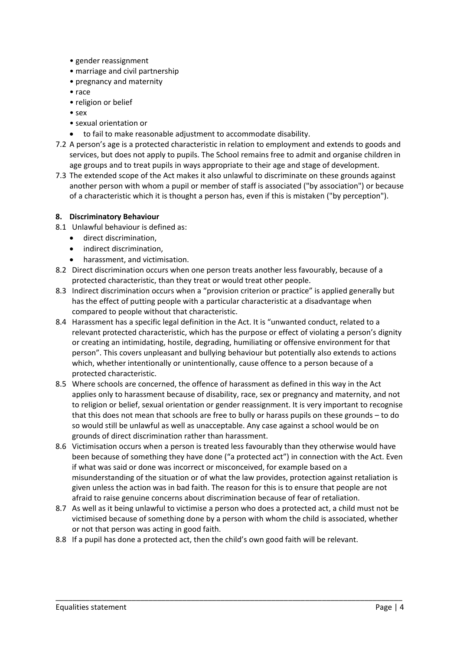- gender reassignment
- marriage and civil partnership
- pregnancy and maternity
- race
- religion or belief
- sex
- sexual orientation or
- to fail to make reasonable adjustment to accommodate disability.
- 7.2 A person's age is a protected characteristic in relation to employment and extends to goods and services, but does not apply to pupils. The School remains free to admit and organise children in age groups and to treat pupils in ways appropriate to their age and stage of development.
- 7.3 The extended scope of the Act makes it also unlawful to discriminate on these grounds against another person with whom a pupil or member of staff is associated ("by association") or because of a characteristic which it is thought a person has, even if this is mistaken ("by perception").

#### **8. Discriminatory Behaviour**

- 8.1 Unlawful behaviour is defined as:
	- direct discrimination,
	- indirect discrimination,
	- harassment, and victimisation.
- 8.2 Direct discrimination occurs when one person treats another less favourably, because of a protected characteristic, than they treat or would treat other people.
- 8.3 Indirect discrimination occurs when a "provision criterion or practice" is applied generally but has the effect of putting people with a particular characteristic at a disadvantage when compared to people without that characteristic.
- 8.4 Harassment has a specific legal definition in the Act. It is "unwanted conduct, related to a relevant protected characteristic, which has the purpose or effect of violating a person's dignity or creating an intimidating, hostile, degrading, humiliating or offensive environment for that person". This covers unpleasant and bullying behaviour but potentially also extends to actions which, whether intentionally or unintentionally, cause offence to a person because of a protected characteristic.
- 8.5 Where schools are concerned, the offence of harassment as defined in this way in the Act applies only to harassment because of disability, race, sex or pregnancy and maternity, and not to religion or belief, sexual orientation or gender reassignment. It is very important to recognise that this does not mean that schools are free to bully or harass pupils on these grounds – to do so would still be unlawful as well as unacceptable. Any case against a school would be on grounds of direct discrimination rather than harassment.
- 8.6 Victimisation occurs when a person is treated less favourably than they otherwise would have been because of something they have done ("a protected act") in connection with the Act. Even if what was said or done was incorrect or misconceived, for example based on a misunderstanding of the situation or of what the law provides, protection against retaliation is given unless the action was in bad faith. The reason for this is to ensure that people are not afraid to raise genuine concerns about discrimination because of fear of retaliation.
- 8.7 As well as it being unlawful to victimise a person who does a protected act, a child must not be victimised because of something done by a person with whom the child is associated, whether or not that person was acting in good faith.

\_\_\_\_\_\_\_\_\_\_\_\_\_\_\_\_\_\_\_\_\_\_\_\_\_\_\_\_\_\_\_\_\_\_\_\_\_\_\_\_\_\_\_\_\_\_\_\_\_\_\_\_\_\_\_\_\_\_\_\_\_\_\_\_\_\_\_\_\_\_\_\_\_\_\_\_\_\_\_\_\_\_

8.8 If a pupil has done a protected act, then the child's own good faith will be relevant.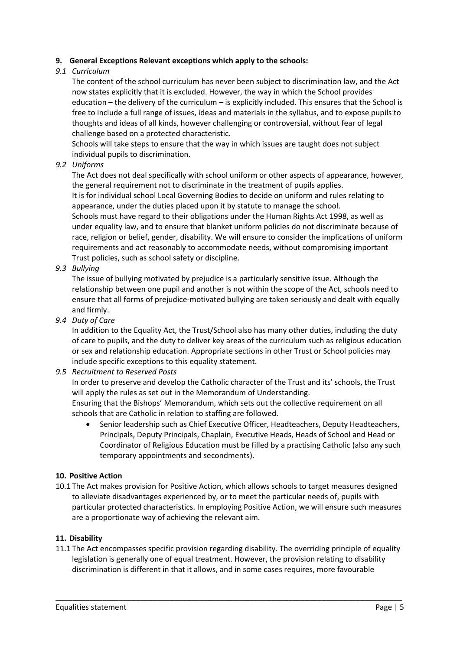#### **9. General Exceptions Relevant exceptions which apply to the schools:**

#### *9.1 Curriculum*

The content of the school curriculum has never been subject to discrimination law, and the Act now states explicitly that it is excluded. However, the way in which the School provides education – the delivery of the curriculum – is explicitly included. This ensures that the School is free to include a full range of issues, ideas and materials in the syllabus, and to expose pupils to thoughts and ideas of all kinds, however challenging or controversial, without fear of legal challenge based on a protected characteristic.

Schools will take steps to ensure that the way in which issues are taught does not subject individual pupils to discrimination.

## *9.2 Uniforms*

The Act does not deal specifically with school uniform or other aspects of appearance, however, the general requirement not to discriminate in the treatment of pupils applies.

It is for individual school Local Governing Bodies to decide on uniform and rules relating to appearance, under the duties placed upon it by statute to manage the school.

Schools must have regard to their obligations under the Human Rights Act 1998, as well as under equality law, and to ensure that blanket uniform policies do not discriminate because of race, religion or belief, gender, disability. We will ensure to consider the implications of uniform requirements and act reasonably to accommodate needs, without compromising important Trust policies, such as school safety or discipline.

## *9.3 Bullying*

The issue of bullying motivated by prejudice is a particularly sensitive issue. Although the relationship between one pupil and another is not within the scope of the Act, schools need to ensure that all forms of prejudice‐motivated bullying are taken seriously and dealt with equally and firmly.

#### *9.4 Duty of Care*

In addition to the Equality Act, the Trust/School also has many other duties, including the duty of care to pupils, and the duty to deliver key areas of the curriculum such as religious education or sex and relationship education. Appropriate sections in other Trust or School policies may include specific exceptions to this equality statement.

#### *9.5 Recruitment to Reserved Posts*

In order to preserve and develop the Catholic character of the Trust and its' schools, the Trust will apply the rules as set out in the Memorandum of Understanding.

Ensuring that the Bishops' Memorandum, which sets out the collective requirement on all schools that are Catholic in relation to staffing are followed.

 Senior leadership such as Chief Executive Officer, Headteachers, Deputy Headteachers, Principals, Deputy Principals, Chaplain, Executive Heads, Heads of School and Head or Coordinator of Religious Education must be filled by a practising Catholic (also any such temporary appointments and secondments).

#### **10. Positive Action**

10.1 The Act makes provision for Positive Action, which allows schools to target measures designed to alleviate disadvantages experienced by, or to meet the particular needs of, pupils with particular protected characteristics. In employing Positive Action, we will ensure such measures are a proportionate way of achieving the relevant aim.

#### **11. Disability**

11.1 The Act encompasses specific provision regarding disability. The overriding principle of equality legislation is generally one of equal treatment. However, the provision relating to disability discrimination is different in that it allows, and in some cases requires, more favourable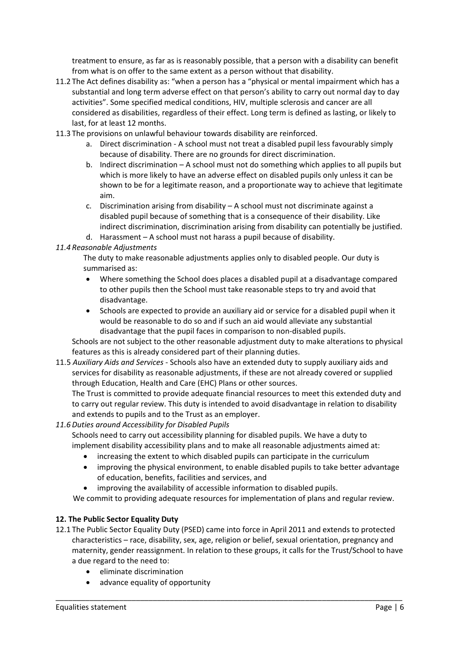treatment to ensure, as far as is reasonably possible, that a person with a disability can benefit from what is on offer to the same extent as a person without that disability.

- 11.2 The Act defines disability as: "when a person has a "physical or mental impairment which has a substantial and long term adverse effect on that person's ability to carry out normal day to day activities". Some specified medical conditions, HIV, multiple sclerosis and cancer are all considered as disabilities, regardless of their effect. Long term is defined as lasting, or likely to last, for at least 12 months.
- 11.3 The provisions on unlawful behaviour towards disability are reinforced.
	- a. Direct discrimination ‐ A school must not treat a disabled pupil less favourably simply because of disability. There are no grounds for direct discrimination.
	- b. Indirect discrimination A school must not do something which applies to all pupils but which is more likely to have an adverse effect on disabled pupils only unless it can be shown to be for a legitimate reason, and a proportionate way to achieve that legitimate aim.
	- c. Discrimination arising from disability A school must not discriminate against a disabled pupil because of something that is a consequence of their disability. Like indirect discrimination, discrimination arising from disability can potentially be justified.
	- d. Harassment A school must not harass a pupil because of disability.

## *11.4 Reasonable Adjustments*

The duty to make reasonable adjustments applies only to disabled people. Our duty is summarised as:

- Where something the School does places a disabled pupil at a disadvantage compared to other pupils then the School must take reasonable steps to try and avoid that disadvantage.
- Schools are expected to provide an auxiliary aid or service for a disabled pupil when it would be reasonable to do so and if such an aid would alleviate any substantial disadvantage that the pupil faces in comparison to non‐disabled pupils.

Schools are not subject to the other reasonable adjustment duty to make alterations to physical features as this is already considered part of their planning duties.

11.5 *Auxiliary Aids and Services* ‐ Schools also have an extended duty to supply auxiliary aids and services for disability as reasonable adjustments, if these are not already covered or supplied through Education, Health and Care (EHC) Plans or other sources.

The Trust is committed to provide adequate financial resources to meet this extended duty and to carry out regular review. This duty is intended to avoid disadvantage in relation to disability and extends to pupils and to the Trust as an employer.

# *11.6 Duties around Accessibility for Disabled Pupils*

Schools need to carry out accessibility planning for disabled pupils. We have a duty to implement disability accessibility plans and to make all reasonable adjustments aimed at:

- increasing the extent to which disabled pupils can participate in the curriculum
- improving the physical environment, to enable disabled pupils to take better advantage of education, benefits, facilities and services, and
- improving the availability of accessible information to disabled pupils.

We commit to providing adequate resources for implementation of plans and regular review.

#### **12. The Public Sector Equality Duty**

12.1 The Public Sector Equality Duty (PSED) came into force in April 2011 and extends to protected characteristics – race, disability, sex, age, religion or belief, sexual orientation, pregnancy and maternity, gender reassignment. In relation to these groups, it calls for the Trust/School to have a due regard to the need to:

- eliminate discrimination
- advance equality of opportunity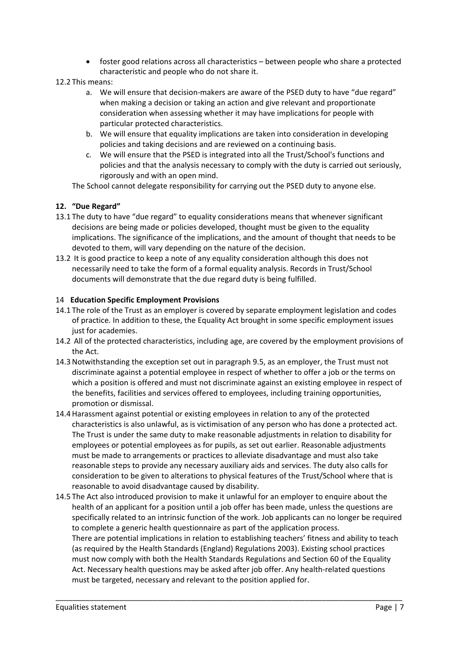- foster good relations across all characteristics between people who share a protected characteristic and people who do not share it.
- 12.2 This means:
	- a. We will ensure that decision-makers are aware of the PSED duty to have "due regard" when making a decision or taking an action and give relevant and proportionate consideration when assessing whether it may have implications for people with particular protected characteristics.
	- b. We will ensure that equality implications are taken into consideration in developing policies and taking decisions and are reviewed on a continuing basis.
	- c. We will ensure that the PSED is integrated into all the Trust/School's functions and policies and that the analysis necessary to comply with the duty is carried out seriously, rigorously and with an open mind.

The School cannot delegate responsibility for carrying out the PSED duty to anyone else.

# **12. "Due Regard"**

- 13.1 The duty to have "due regard" to equality considerations means that whenever significant decisions are being made or policies developed, thought must be given to the equality implications. The significance of the implications, and the amount of thought that needs to be devoted to them, will vary depending on the nature of the decision.
- 13.2 It is good practice to keep a note of any equality consideration although this does not necessarily need to take the form of a formal equality analysis. Records in Trust/School documents will demonstrate that the due regard duty is being fulfilled.

## 14 **Education Specific Employment Provisions**

- 14.1 The role of the Trust as an employer is covered by separate employment legislation and codes of practice. In addition to these, the Equality Act brought in some specific employment issues just for academies.
- 14.2 All of the protected characteristics, including age, are covered by the employment provisions of the Act.
- 14.3 Notwithstanding the exception set out in paragraph 9.5, as an employer, the Trust must not discriminate against a potential employee in respect of whether to offer a job or the terms on which a position is offered and must not discriminate against an existing employee in respect of the benefits, facilities and services offered to employees, including training opportunities, promotion or dismissal.
- 14.4 Harassment against potential or existing employees in relation to any of the protected characteristics is also unlawful, as is victimisation of any person who has done a protected act. The Trust is under the same duty to make reasonable adjustments in relation to disability for employees or potential employees as for pupils, as set out earlier. Reasonable adjustments must be made to arrangements or practices to alleviate disadvantage and must also take reasonable steps to provide any necessary auxiliary aids and services. The duty also calls for consideration to be given to alterations to physical features of the Trust/School where that is reasonable to avoid disadvantage caused by disability.
- 14.5 The Act also introduced provision to make it unlawful for an employer to enquire about the health of an applicant for a position until a job offer has been made, unless the questions are specifically related to an intrinsic function of the work. Job applicants can no longer be required to complete a generic health questionnaire as part of the application process. There are potential implications in relation to establishing teachers' fitness and ability to teach (as required by the Health Standards (England) Regulations 2003). Existing school practices must now comply with both the Health Standards Regulations and Section 60 of the Equality Act. Necessary health questions may be asked after job offer. Any health-related questions must be targeted, necessary and relevant to the position applied for.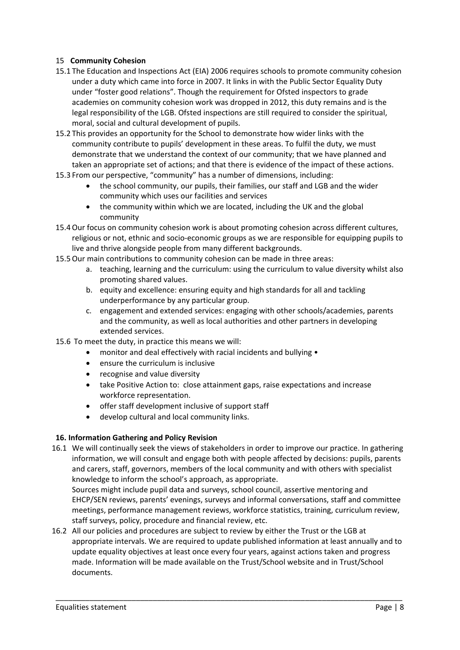#### 15 **Community Cohesion**

- 15.1 The Education and Inspections Act (EIA) 2006 requires schools to promote community cohesion under a duty which came into force in 2007. It links in with the Public Sector Equality Duty under "foster good relations". Though the requirement for Ofsted inspectors to grade academies on community cohesion work was dropped in 2012, this duty remains and is the legal responsibility of the LGB. Ofsted inspections are still required to consider the spiritual, moral, social and cultural development of pupils.
- 15.2 This provides an opportunity for the School to demonstrate how wider links with the community contribute to pupils' development in these areas. To fulfil the duty, we must demonstrate that we understand the context of our community; that we have planned and taken an appropriate set of actions; and that there is evidence of the impact of these actions.
- 15.3 From our perspective, "community" has a number of dimensions, including:
	- the school community, our pupils, their families, our staff and LGB and the wider community which uses our facilities and services
	- the community within which we are located, including the UK and the global community
- 15.4Our focus on community cohesion work is about promoting cohesion across different cultures, religious or not, ethnic and socio‐economic groups as we are responsible for equipping pupils to live and thrive alongside people from many different backgrounds.
- 15.5Our main contributions to community cohesion can be made in three areas:
	- a. teaching, learning and the curriculum: using the curriculum to value diversity whilst also promoting shared values.
	- b. equity and excellence: ensuring equity and high standards for all and tackling underperformance by any particular group.
	- c. engagement and extended services: engaging with other schools/academies, parents and the community, as well as local authorities and other partners in developing extended services.
- 15.6 To meet the duty, in practice this means we will:
	- monitor and deal effectively with racial incidents and bullying •
	- ensure the curriculum is inclusive
	- recognise and value diversity
	- take Positive Action to: close attainment gaps, raise expectations and increase workforce representation.
	- offer staff development inclusive of support staff
	- develop cultural and local community links.

#### **16. Information Gathering and Policy Revision**

16.1 We will continually seek the views of stakeholders in order to improve our practice. In gathering information, we will consult and engage both with people affected by decisions: pupils, parents and carers, staff, governors, members of the local community and with others with specialist knowledge to inform the school's approach, as appropriate. Sources might include pupil data and surveys, school council, assertive mentoring and EHCP/SEN reviews, parents' evenings, surveys and informal conversations, staff and committee

meetings, performance management reviews, workforce statistics, training, curriculum review, staff surveys, policy, procedure and financial review, etc.

16.2 All our policies and procedures are subject to review by either the Trust or the LGB at appropriate intervals. We are required to update published information at least annually and to update equality objectives at least once every four years, against actions taken and progress made. Information will be made available on the Trust/School website and in Trust/School documents.